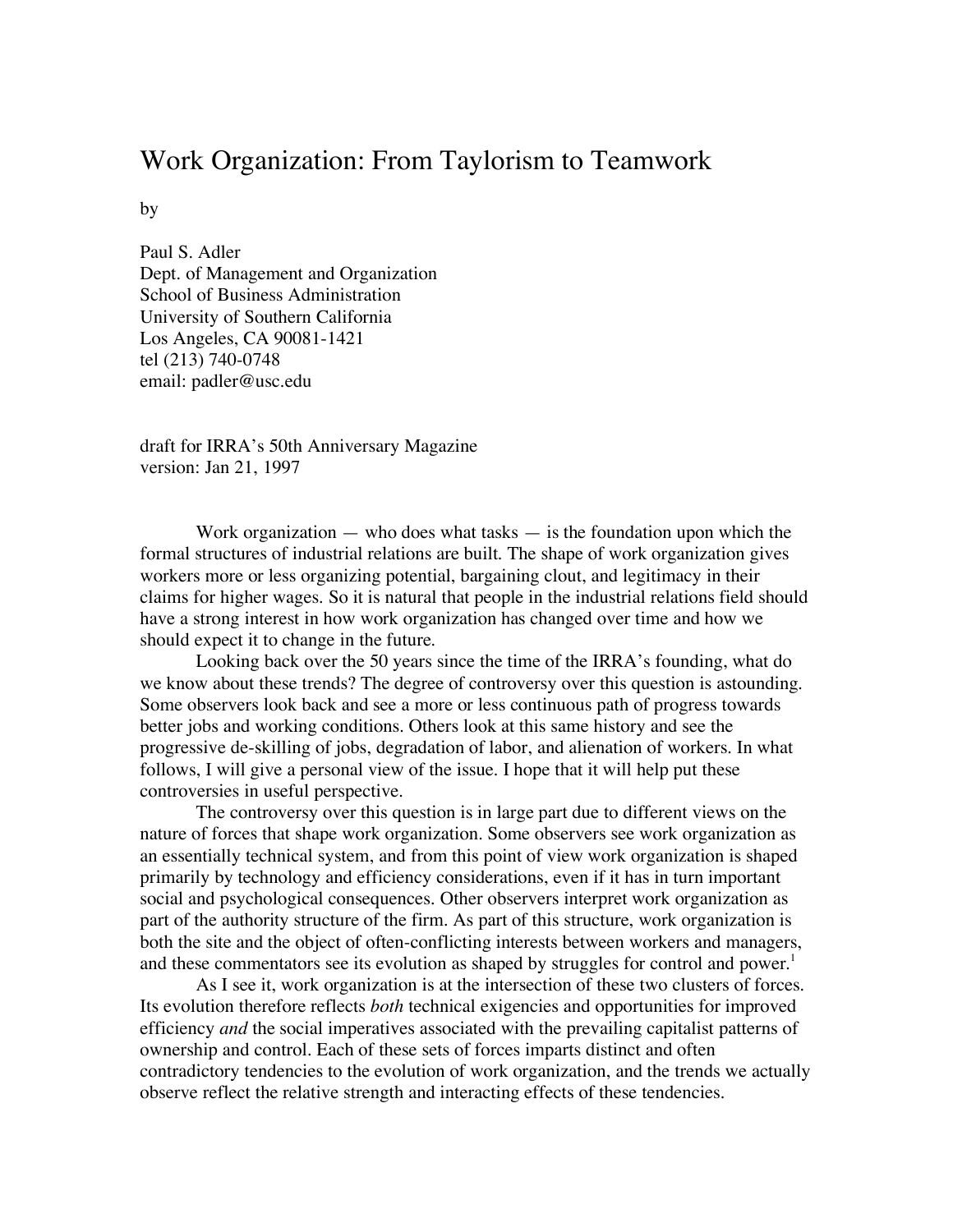## Work Organization: From Taylorism to Teamwork

by

Paul S. Adler Dept. of Management and Organization School of Business Administration University of Southern California Los Angeles, CA 90081-1421 tel (213) 740-0748 email: padler@usc.edu

draft for IRRA's 50th Anniversary Magazine version: Jan 21, 1997

Work organization  $-$  who does what tasks  $-$  is the foundation upon which the formal structures of industrial relations are built. The shape of work organization gives workers more or less organizing potential, bargaining clout, and legitimacy in their claims for higher wages. So it is natural that people in the industrial relations field should have a strong interest in how work organization has changed over time and how we should expect it to change in the future.

Looking back over the 50 years since the time of the IRRA's founding, what do we know about these trends? The degree of controversy over this question is astounding. Some observers look back and see a more or less continuous path of progress towards better jobs and working conditions. Others look at this same history and see the progressive de-skilling of jobs, degradation of labor, and alienation of workers. In what follows, I will give a personal view of the issue. I hope that it will help put these controversies in useful perspective.

The controversy over this question is in large part due to different views on the nature of forces that shape work organization. Some observers see work organization as an essentially technical system, and from this point of view work organization is shaped primarily by technology and efficiency considerations, even if it has in turn important social and psychological consequences. Other observers interpret work organization as part of the authority structure of the firm. As part of this structure, work organization is both the site and the object of often-conflicting interests between workers and managers, and these commentators see its evolution as shaped by struggles for control and power.<sup>1</sup>

As I see it, work organization is at the intersection of these two clusters of forces. Its evolution therefore reflects *both* technical exigencies and opportunities for improved efficiency *and* the social imperatives associated with the prevailing capitalist patterns of ownership and control. Each of these sets of forces imparts distinct and often contradictory tendencies to the evolution of work organization, and the trends we actually observe reflect the relative strength and interacting effects of these tendencies.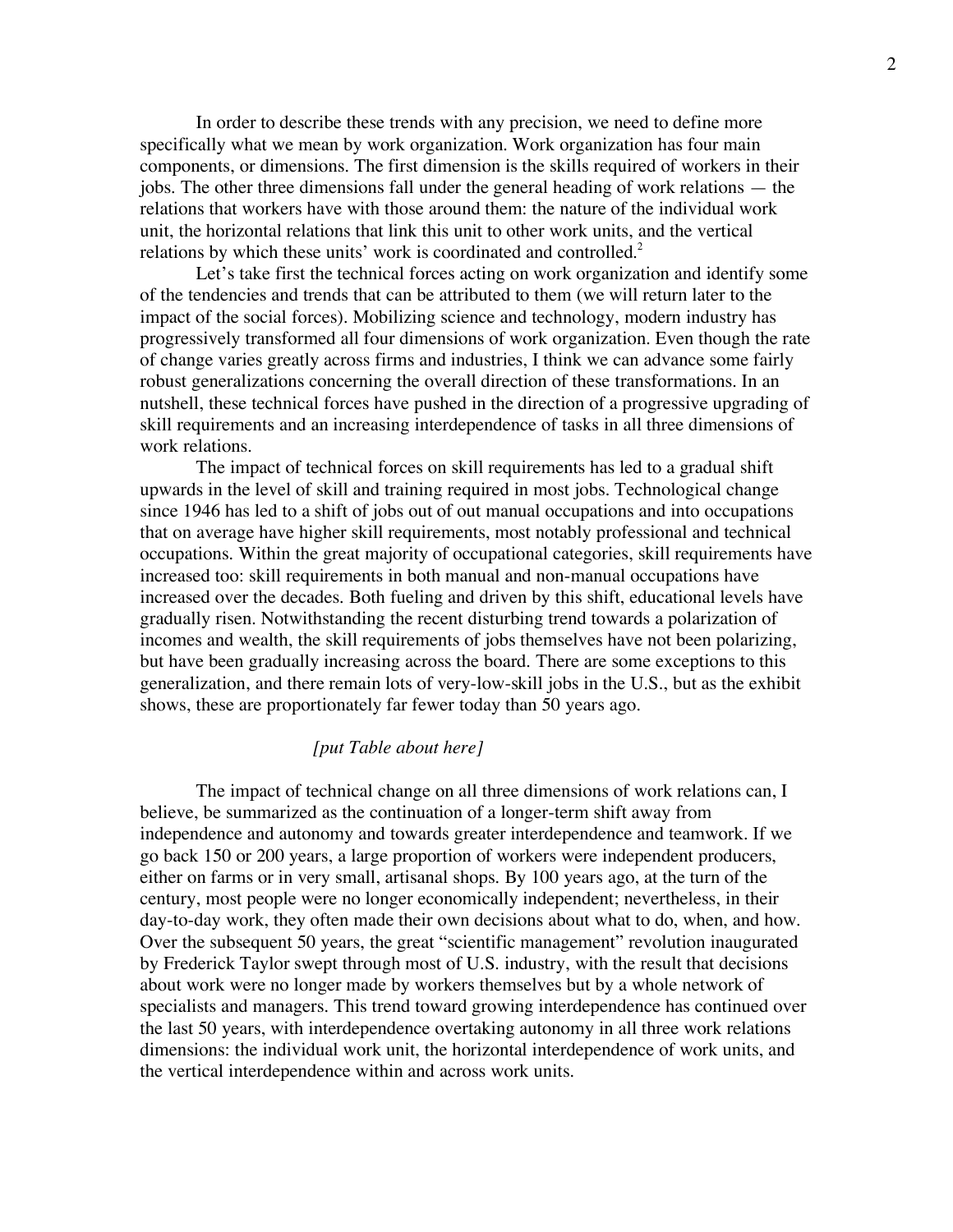In order to describe these trends with any precision, we need to define more specifically what we mean by work organization. Work organization has four main components, or dimensions. The first dimension is the skills required of workers in their jobs. The other three dimensions fall under the general heading of work relations — the relations that workers have with those around them: the nature of the individual work unit, the horizontal relations that link this unit to other work units, and the vertical relations by which these units' work is coordinated and controlled.<sup>2</sup>

Let's take first the technical forces acting on work organization and identify some of the tendencies and trends that can be attributed to them (we will return later to the impact of the social forces). Mobilizing science and technology, modern industry has progressively transformed all four dimensions of work organization. Even though the rate of change varies greatly across firms and industries, I think we can advance some fairly robust generalizations concerning the overall direction of these transformations. In an nutshell, these technical forces have pushed in the direction of a progressive upgrading of skill requirements and an increasing interdependence of tasks in all three dimensions of work relations.

The impact of technical forces on skill requirements has led to a gradual shift upwards in the level of skill and training required in most jobs. Technological change since 1946 has led to a shift of jobs out of out manual occupations and into occupations that on average have higher skill requirements, most notably professional and technical occupations. Within the great majority of occupational categories, skill requirements have increased too: skill requirements in both manual and non-manual occupations have increased over the decades. Both fueling and driven by this shift, educational levels have gradually risen. Notwithstanding the recent disturbing trend towards a polarization of incomes and wealth, the skill requirements of jobs themselves have not been polarizing, but have been gradually increasing across the board. There are some exceptions to this generalization, and there remain lots of very-low-skill jobs in the U.S., but as the exhibit shows, these are proportionately far fewer today than 50 years ago.

## *[put Table about here]*

The impact of technical change on all three dimensions of work relations can, I believe, be summarized as the continuation of a longer-term shift away from independence and autonomy and towards greater interdependence and teamwork. If we go back 150 or 200 years, a large proportion of workers were independent producers, either on farms or in very small, artisanal shops. By 100 years ago, at the turn of the century, most people were no longer economically independent; nevertheless, in their day-to-day work, they often made their own decisions about what to do, when, and how. Over the subsequent 50 years, the great "scientific management" revolution inaugurated by Frederick Taylor swept through most of U.S. industry, with the result that decisions about work were no longer made by workers themselves but by a whole network of specialists and managers. This trend toward growing interdependence has continued over the last 50 years, with interdependence overtaking autonomy in all three work relations dimensions: the individual work unit, the horizontal interdependence of work units, and the vertical interdependence within and across work units.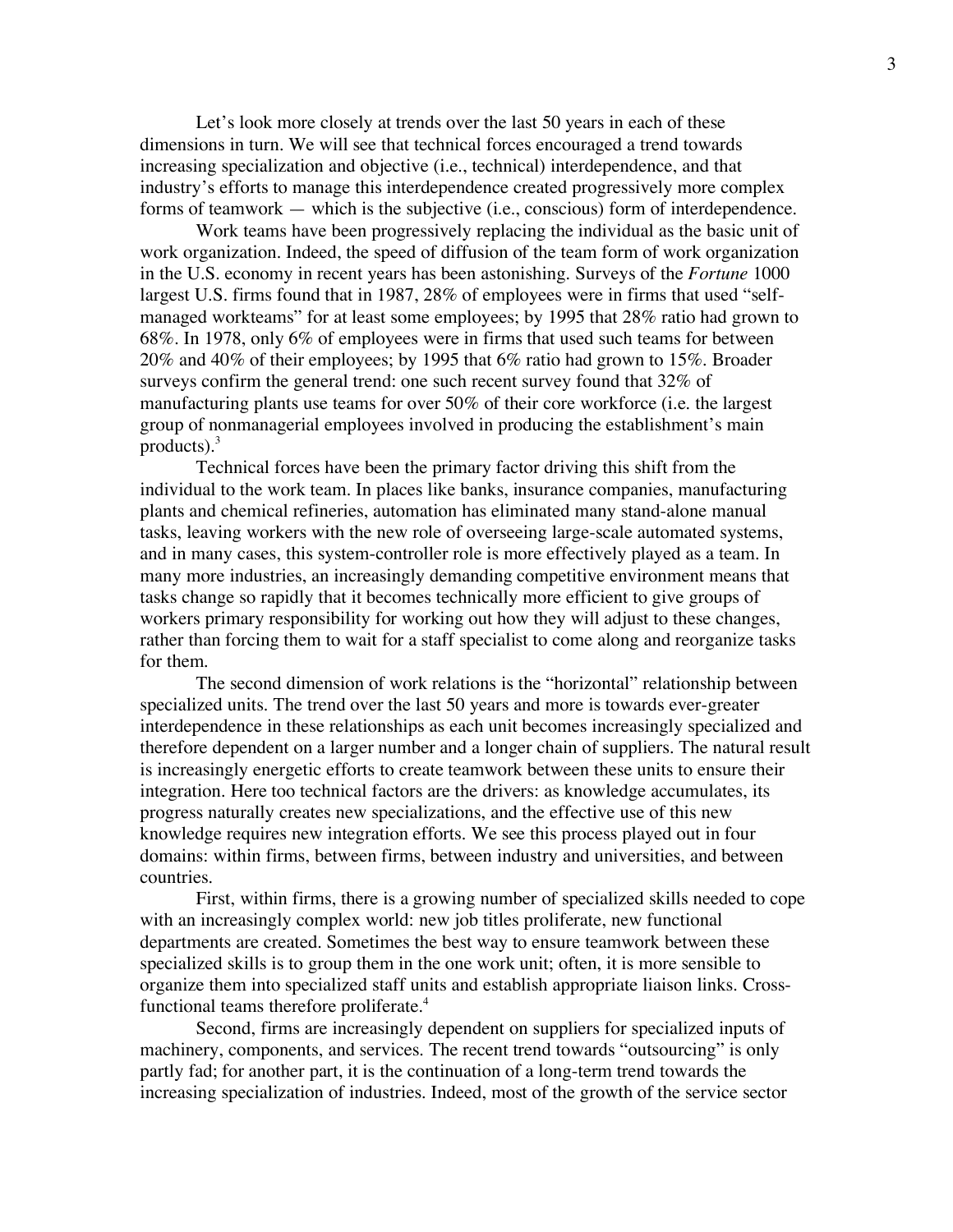Let's look more closely at trends over the last 50 years in each of these dimensions in turn. We will see that technical forces encouraged a trend towards increasing specialization and objective (i.e., technical) interdependence, and that industry's efforts to manage this interdependence created progressively more complex forms of teamwork — which is the subjective (i.e., conscious) form of interdependence.

Work teams have been progressively replacing the individual as the basic unit of work organization. Indeed, the speed of diffusion of the team form of work organization in the U.S. economy in recent years has been astonishing. Surveys of the *Fortune* 1000 largest U.S. firms found that in 1987, 28% of employees were in firms that used "selfmanaged workteams" for at least some employees; by 1995 that 28% ratio had grown to 68%. In 1978, only 6% of employees were in firms that used such teams for between 20% and 40% of their employees; by 1995 that 6% ratio had grown to 15%. Broader surveys confirm the general trend: one such recent survey found that 32% of manufacturing plants use teams for over 50% of their core workforce (i.e. the largest group of nonmanagerial employees involved in producing the establishment's main products). 3

Technical forces have been the primary factor driving this shift from the individual to the work team. In places like banks, insurance companies, manufacturing plants and chemical refineries, automation has eliminated many stand-alone manual tasks, leaving workers with the new role of overseeing large-scale automated systems, and in many cases, this system-controller role is more effectively played as a team. In many more industries, an increasingly demanding competitive environment means that tasks change so rapidly that it becomes technically more efficient to give groups of workers primary responsibility for working out how they will adjust to these changes, rather than forcing them to wait for a staff specialist to come along and reorganize tasks for them.

The second dimension of work relations is the "horizontal" relationship between specialized units. The trend over the last 50 years and more is towards ever-greater interdependence in these relationships as each unit becomes increasingly specialized and therefore dependent on a larger number and a longer chain of suppliers. The natural result is increasingly energetic efforts to create teamwork between these units to ensure their integration. Here too technical factors are the drivers: as knowledge accumulates, its progress naturally creates new specializations, and the effective use of this new knowledge requires new integration efforts. We see this process played out in four domains: within firms, between firms, between industry and universities, and between countries.

First, within firms, there is a growing number of specialized skills needed to cope with an increasingly complex world: new job titles proliferate, new functional departments are created. Sometimes the best way to ensure teamwork between these specialized skills is to group them in the one work unit; often, it is more sensible to organize them into specialized staff units and establish appropriate liaison links. Crossfunctional teams therefore proliferate.<sup>4</sup>

Second, firms are increasingly dependent on suppliers for specialized inputs of machinery, components, and services. The recent trend towards "outsourcing" is only partly fad; for another part, it is the continuation of a long-term trend towards the increasing specialization of industries. Indeed, most of the growth of the service sector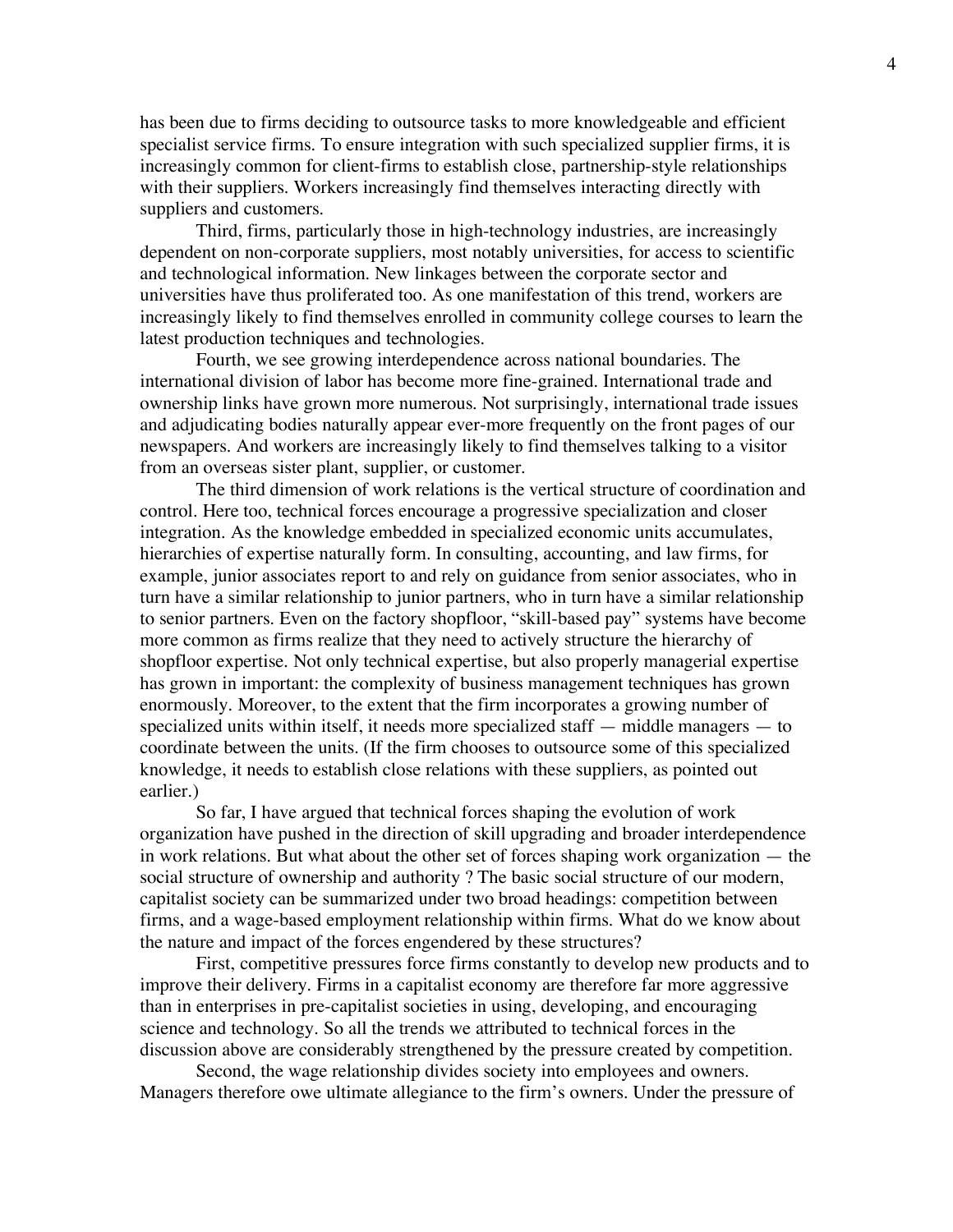has been due to firms deciding to outsource tasks to more knowledgeable and efficient specialist service firms. To ensure integration with such specialized supplier firms, it is increasingly common for client-firms to establish close, partnership-style relationships with their suppliers. Workers increasingly find themselves interacting directly with suppliers and customers.

Third, firms, particularly those in high-technology industries, are increasingly dependent on non-corporate suppliers, most notably universities, for access to scientific and technological information. New linkages between the corporate sector and universities have thus proliferated too. As one manifestation of this trend, workers are increasingly likely to find themselves enrolled in community college courses to learn the latest production techniques and technologies.

Fourth, we see growing interdependence across national boundaries. The international division of labor has become more fine-grained. International trade and ownership links have grown more numerous. Not surprisingly, international trade issues and adjudicating bodies naturally appear ever-more frequently on the front pages of our newspapers. And workers are increasingly likely to find themselves talking to a visitor from an overseas sister plant, supplier, or customer.

The third dimension of work relations is the vertical structure of coordination and control. Here too, technical forces encourage a progressive specialization and closer integration. As the knowledge embedded in specialized economic units accumulates, hierarchies of expertise naturally form. In consulting, accounting, and law firms, for example, junior associates report to and rely on guidance from senior associates, who in turn have a similar relationship to junior partners, who in turn have a similar relationship to senior partners. Even on the factory shopfloor, "skill-based pay" systems have become more common as firms realize that they need to actively structure the hierarchy of shopfloor expertise. Not only technical expertise, but also properly managerial expertise has grown in important: the complexity of business management techniques has grown enormously. Moreover, to the extent that the firm incorporates a growing number of specialized units within itself, it needs more specialized staff — middle managers — to coordinate between the units. (If the firm chooses to outsource some of this specialized knowledge, it needs to establish close relations with these suppliers, as pointed out earlier.)

So far, I have argued that technical forces shaping the evolution of work organization have pushed in the direction of skill upgrading and broader interdependence in work relations. But what about the other set of forces shaping work organization — the social structure of ownership and authority ? The basic social structure of our modern, capitalist society can be summarized under two broad headings: competition between firms, and a wage-based employment relationship within firms. What do we know about the nature and impact of the forces engendered by these structures?

First, competitive pressures force firms constantly to develop new products and to improve their delivery. Firms in a capitalist economy are therefore far more aggressive than in enterprises in pre-capitalist societies in using, developing, and encouraging science and technology. So all the trends we attributed to technical forces in the discussion above are considerably strengthened by the pressure created by competition.

Second, the wage relationship divides society into employees and owners. Managers therefore owe ultimate allegiance to the firm's owners. Under the pressure of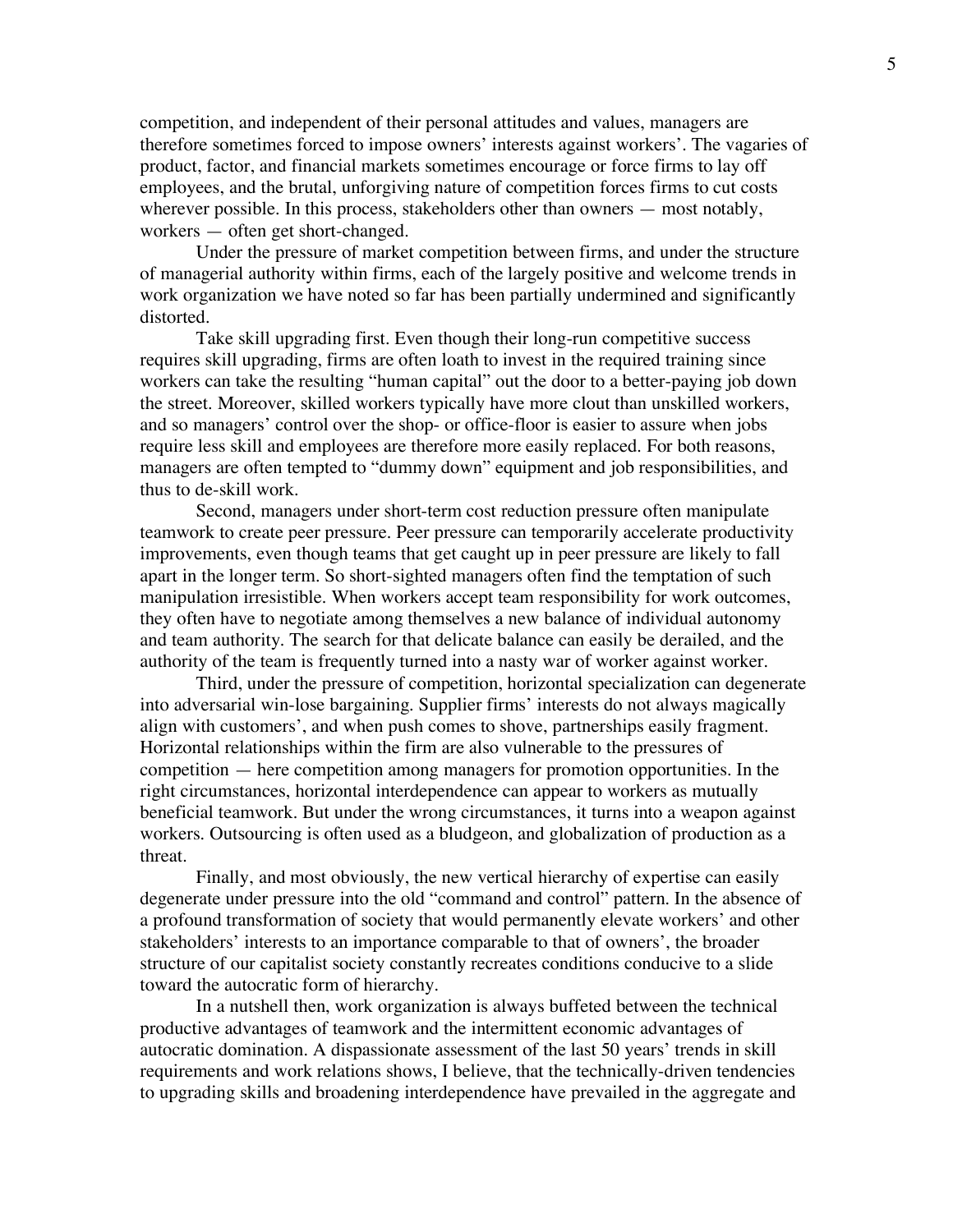competition, and independent of their personal attitudes and values, managers are therefore sometimes forced to impose owners' interests against workers'. The vagaries of product, factor, and financial markets sometimes encourage or force firms to lay off employees, and the brutal, unforgiving nature of competition forces firms to cut costs wherever possible. In this process, stakeholders other than owners — most notably, workers — often get short-changed.

Under the pressure of market competition between firms, and under the structure of managerial authority within firms, each of the largely positive and welcome trends in work organization we have noted so far has been partially undermined and significantly distorted.

Take skill upgrading first. Even though their long-run competitive success requires skill upgrading, firms are often loath to invest in the required training since workers can take the resulting "human capital" out the door to a better-paying job down the street. Moreover, skilled workers typically have more clout than unskilled workers, and so managers' control over the shop- or office-floor is easier to assure when jobs require less skill and employees are therefore more easily replaced. For both reasons, managers are often tempted to "dummy down" equipment and job responsibilities, and thus to de-skill work.

Second, managers under short-term cost reduction pressure often manipulate teamwork to create peer pressure. Peer pressure can temporarily accelerate productivity improvements, even though teams that get caught up in peer pressure are likely to fall apart in the longer term. So short-sighted managers often find the temptation of such manipulation irresistible. When workers accept team responsibility for work outcomes, they often have to negotiate among themselves a new balance of individual autonomy and team authority. The search for that delicate balance can easily be derailed, and the authority of the team is frequently turned into a nasty war of worker against worker.

Third, under the pressure of competition, horizontal specialization can degenerate into adversarial win-lose bargaining. Supplier firms' interests do not always magically align with customers', and when push comes to shove, partnerships easily fragment. Horizontal relationships within the firm are also vulnerable to the pressures of competition — here competition among managers for promotion opportunities. In the right circumstances, horizontal interdependence can appear to workers as mutually beneficial teamwork. But under the wrong circumstances, it turns into a weapon against workers. Outsourcing is often used as a bludgeon, and globalization of production as a threat.

Finally, and most obviously, the new vertical hierarchy of expertise can easily degenerate under pressure into the old "command and control" pattern. In the absence of a profound transformation of society that would permanently elevate workers' and other stakeholders' interests to an importance comparable to that of owners', the broader structure of our capitalist society constantly recreates conditions conducive to a slide toward the autocratic form of hierarchy.

In a nutshell then, work organization is always buffeted between the technical productive advantages of teamwork and the intermittent economic advantages of autocratic domination. A dispassionate assessment of the last 50 years' trends in skill requirements and work relations shows, I believe, that the technically-driven tendencies to upgrading skills and broadening interdependence have prevailed in the aggregate and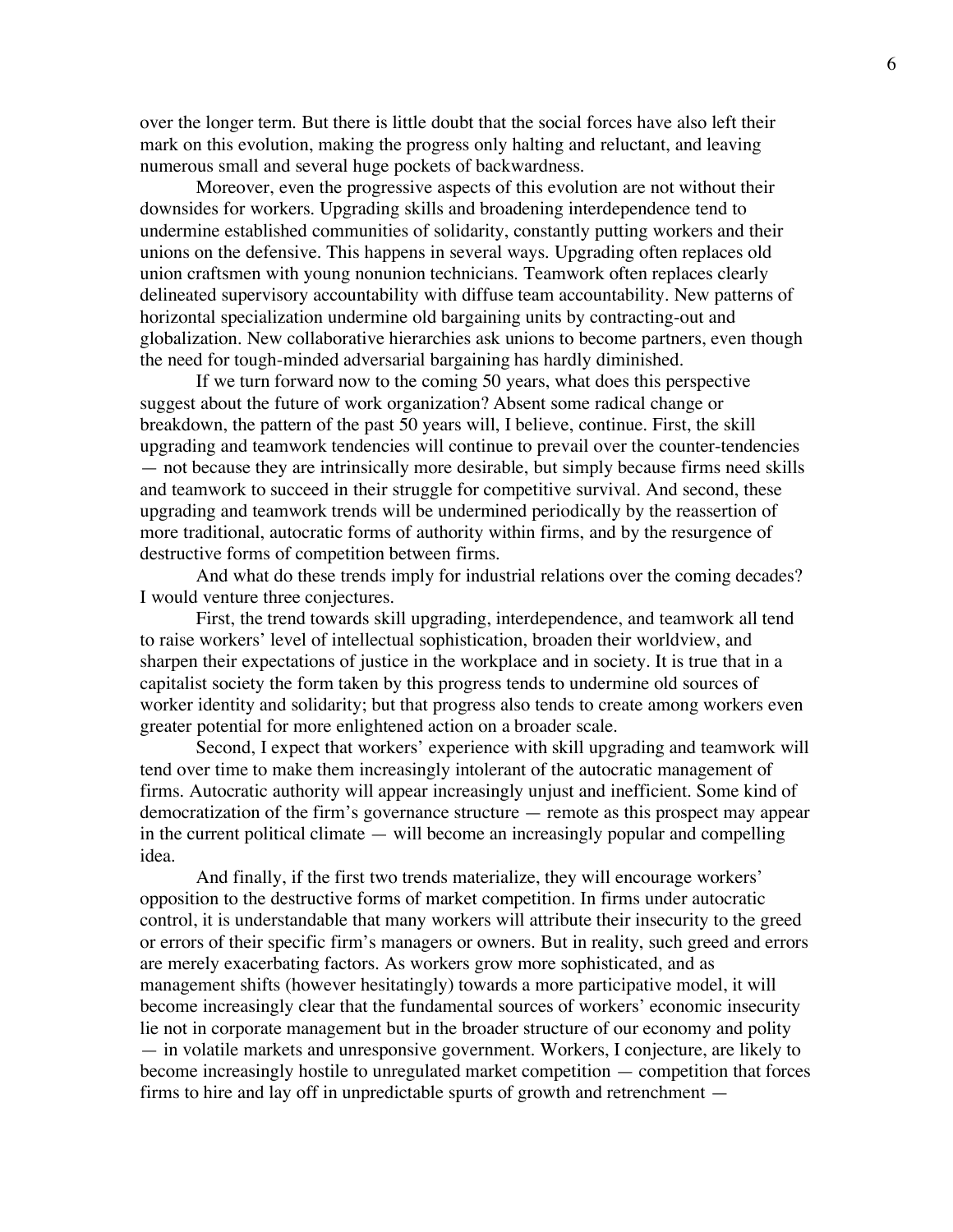over the longer term. But there is little doubt that the social forces have also left their mark on this evolution, making the progress only halting and reluctant, and leaving numerous small and several huge pockets of backwardness.

Moreover, even the progressive aspects of this evolution are not without their downsides for workers. Upgrading skills and broadening interdependence tend to undermine established communities of solidarity, constantly putting workers and their unions on the defensive. This happens in several ways. Upgrading often replaces old union craftsmen with young nonunion technicians. Teamwork often replaces clearly delineated supervisory accountability with diffuse team accountability. New patterns of horizontal specialization undermine old bargaining units by contracting-out and globalization. New collaborative hierarchies ask unions to become partners, even though the need for tough-minded adversarial bargaining has hardly diminished.

If we turn forward now to the coming 50 years, what does this perspective suggest about the future of work organization? Absent some radical change or breakdown, the pattern of the past 50 years will, I believe, continue. First, the skill upgrading and teamwork tendencies will continue to prevail over the counter-tendencies — not because they are intrinsically more desirable, but simply because firms need skills and teamwork to succeed in their struggle for competitive survival. And second, these upgrading and teamwork trends will be undermined periodically by the reassertion of more traditional, autocratic forms of authority within firms, and by the resurgence of destructive forms of competition between firms.

And what do these trends imply for industrial relations over the coming decades? I would venture three conjectures.

First, the trend towards skill upgrading, interdependence, and teamwork all tend to raise workers' level of intellectual sophistication, broaden their worldview, and sharpen their expectations of justice in the workplace and in society. It is true that in a capitalist society the form taken by this progress tends to undermine old sources of worker identity and solidarity; but that progress also tends to create among workers even greater potential for more enlightened action on a broader scale.

Second, I expect that workers' experience with skill upgrading and teamwork will tend over time to make them increasingly intolerant of the autocratic management of firms. Autocratic authority will appear increasingly unjust and inefficient. Some kind of democratization of the firm's governance structure — remote as this prospect may appear in the current political climate — will become an increasingly popular and compelling idea.

And finally, if the first two trends materialize, they will encourage workers' opposition to the destructive forms of market competition. In firms under autocratic control, it is understandable that many workers will attribute their insecurity to the greed or errors of their specific firm's managers or owners. But in reality, such greed and errors are merely exacerbating factors. As workers grow more sophisticated, and as management shifts (however hesitatingly) towards a more participative model, it will become increasingly clear that the fundamental sources of workers' economic insecurity lie not in corporate management but in the broader structure of our economy and polity — in volatile markets and unresponsive government. Workers, I conjecture, are likely to become increasingly hostile to unregulated market competition — competition that forces firms to hire and lay off in unpredictable spurts of growth and retrenchment —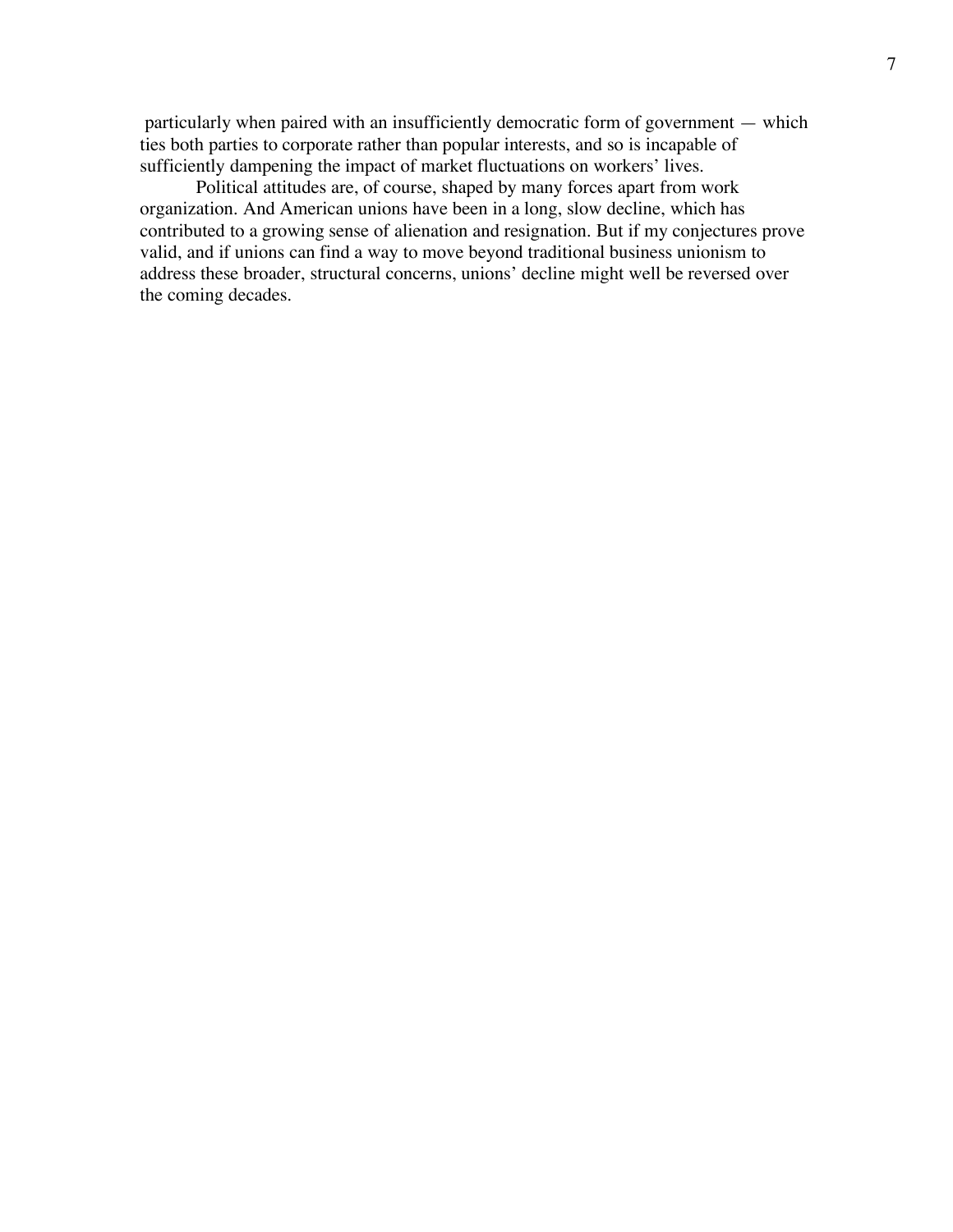particularly when paired with an insufficiently democratic form of government — which ties both parties to corporate rather than popular interests, and so is incapable of sufficiently dampening the impact of market fluctuations on workers' lives.

Political attitudes are, of course, shaped by many forces apart from work organization. And American unions have been in a long, slow decline, which has contributed to a growing sense of alienation and resignation. But if my conjectures prove valid, and if unions can find a way to move beyond traditional business unionism to address these broader, structural concerns, unions' decline might well be reversed over the coming decades.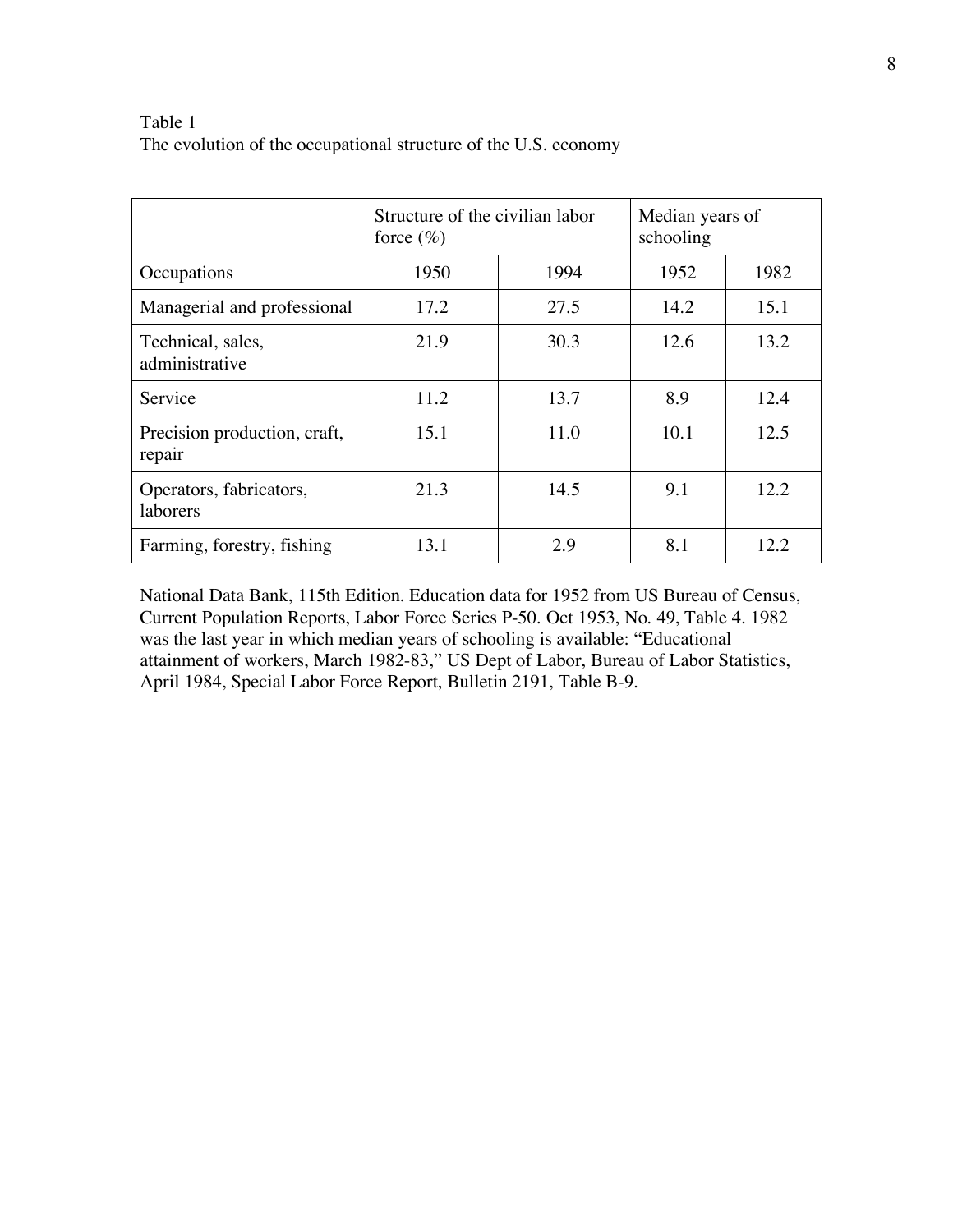## Table 1 The evolution of the occupational structure of the U.S. economy

|                                        | Structure of the civilian labor<br>force $(\%)$ |      | Median years of<br>schooling |      |
|----------------------------------------|-------------------------------------------------|------|------------------------------|------|
| Occupations                            | 1950                                            | 1994 | 1952                         | 1982 |
| Managerial and professional            | 17.2                                            | 27.5 | 14.2                         | 15.1 |
| Technical, sales,<br>administrative    | 21.9                                            | 30.3 | 12.6                         | 13.2 |
| Service                                | 11.2                                            | 13.7 | 8.9                          | 12.4 |
| Precision production, craft,<br>repair | 15.1                                            | 11.0 | 10.1                         | 12.5 |
| Operators, fabricators,<br>laborers    | 21.3                                            | 14.5 | 9.1                          | 12.2 |
| Farming, forestry, fishing             | 13.1                                            | 2.9  | 8.1                          | 12.2 |

National Data Bank, 115th Edition. Education data for 1952 from US Bureau of Census, Current Population Reports, Labor Force Series P-50. Oct 1953, No. 49, Table 4. 1982 was the last year in which median years of schooling is available: "Educational attainment of workers, March 1982-83," US Dept of Labor, Bureau of Labor Statistics, April 1984, Special Labor Force Report, Bulletin 2191, Table B-9.